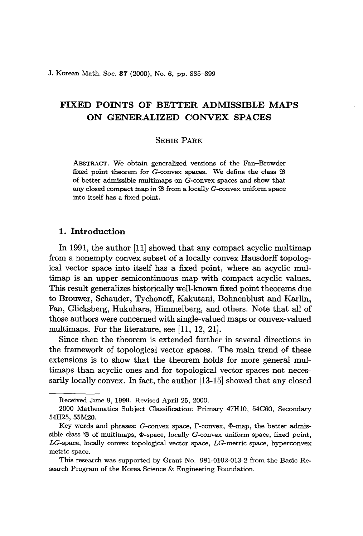J. Korean Math. Soc. 37 (2000), No. 6, pp. 885-899

# FIXED POINTS OF BETTER ADMISSIBLE MAPS ON GENERALIZED CONVEX SPACES

# SEHIE PARK

ABSTRACT. We obtain generalized versions of the Fan-Browder fixed point theorem for  $G$ -convex spaces. We define the class  $\mathfrak B$ of better admissible multimaps on G-convex spaces and show that any closed compact map in  $\mathfrak B$  from a locally  $G$ -convex uniform space into itself has a fixed point.

# 1. Introduction

In 1991, the author [11] showed that any compact acyclic multimap from a nonempty convex subset of a locally convex Hausdorff topological vector space into itself has a fixed point, where an acyclic multimap is an upper semicontinuous map with compact acyclic values. This result generalizes historically well-known fixed point theorems due to Brouwer, Schauder, Tychonoff, Kakutani, Bohnenblust and Karlin, Fan, Glicksberg, Hukuhara, Himmelberg, and others. Note that all of those authors were concerned with single-valued maps or convex-valued multimaps. For the literature, see [11, 12, 21].

Since then the theorem is extended further in several directions in the framework of topological vector spaces. The main trend of these extensions is to show that the theorem holds for more general multimaps than acyclic ones and for topological vector spaces not necessarily locally convex. In fact, the author [13-15] showed that any closed

Received June 9, 1999. Revised April 25, 2000.

<sup>2000</sup> Mathematics Subject Classification: Primary 47HlO, 54C60, Secondary 54H25, 55M20.

Key words and phrases:  $G$ -convex space,  $\Gamma$ -convex,  $\Phi$ -map, the better admissible class  $\mathfrak B$  of multimaps,  $\Phi$ -space, locally  $G$ -convex uniform space, fixed point, LG-space, locally convex topological vector space, *LG-metric* space, hyperconvex metric space.

This research was supported by Grant No. 981-0102-013-2 from the Basic Research Program of the Korea Science & Engineering Foundation.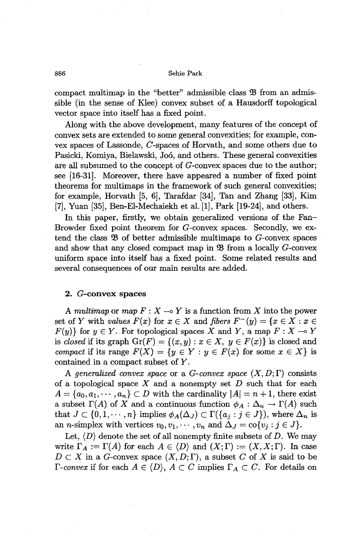compact multimap in the "better" admissible class  $\mathfrak B$  from an admissible (in the sense of Klee) convex subset of a Hausdorff topological vector space into itself has a fixed point.

Along with the above development, many features of the concept of convex sets are extended to some general convexities; for example, convex spaces of Lassonde, C-spaces of Horvath, and some others due to Pasicki, Komiya, Bielawski, Joó, and others. These general convexities are all subsumed to the concept of G-convex spaces due to the author; see [16-31J. Moreover, there have appeared a number of fixed point theorems for multimaps in the framework of such general convexities; for example, Horvath  $[5, 6]$ , Tarafdar  $[34]$ , Tan and Zhang  $[33]$ , Kim [7], Yuan [35], Ben-EI-Mechaiekh et al. [1], Park [19-24], and others.

In this paper, firstly, we obtain generalized versions of the Fan-Browder fixed point theorem for G-convex spaces. Secondly, we extend the class  $\mathfrak{B}$  of better admissible multimaps to  $G$ -convex spaces and show that any closed compact map in  $\mathfrak{B}$  from a locally  $G$ -convex uniform space into itself has a fixed point. Some related results and several consequences of our main results are added.

#### 2. G-convex spaces

A *multimap* or *map*  $F: X \rightarrow Y$  is a function from X into the power set of *Y* with *values*  $F(x)$  for  $x \in X$  and *fibers*  $F^{-}(y) = \{x \in X : x \in Y\}$  $F(y)$  for  $y \in Y$ . For topological spaces X and Y, a map  $F: X \to Y$ is *closed* if its graph  $Gr(F) = \{(x, y) : x \in X, y \in F(x)\}$  is closed and *compact* if its range  $F(X) = \{y \in Y : y \in F(x) \text{ for some } x \in X\}$  is contained in a compact subset of Y.

A generalized convex space or a *G-convex* space  $(X, D; \Gamma)$  consists of a topological space *X* and a nonempty set *D* such that for each  $A = \{a_0, a_1, \dots, a_n\} \subset D$  with the cardinality  $|A| = n + 1$ , there exist a subset  $\Gamma(A)$  of X and a continuous function  $\phi_A : \Delta_n \to \Gamma(A)$  such that  $J \subset \{0,1,\dots,n\}$  implies  $\phi_A(\Delta_J) \subset \Gamma(\{a_j : j \in J\})$ , where  $\Delta_n$  is an *n*-simplex with vertices  $v_0, v_1, \dots, v_n$  and  $\Delta_J = \text{co}\{v_j : j \in J\}.$ 

Let,  $\langle D \rangle$  denote the set of all nonempty finite subsets of D. We may write  $\Gamma_A := \Gamma(A)$  for each  $A \in \langle D \rangle$  and  $(X; \Gamma) := (X, X; \Gamma)$ . In case  $D \subset X$  in a *G*-convex space  $(X, D; \Gamma)$ , a subset C of X is said to be *r-convex* if for each  $A \in \langle D \rangle$ ,  $A \subset C$  implies  $\Gamma_A \subset C$ . For details on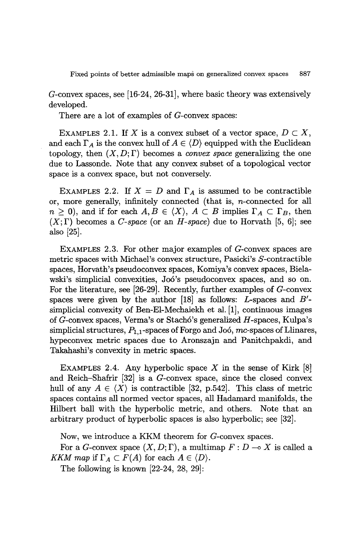G-convex spaces, see [16-24, 26-31], where basic theory was extensively developed.

There are a lot of examples of G-convex spaces:

EXAMPLES 2.1. If X is a convex subset of a vector space,  $D \subset X$ , and each  $\Gamma_A$  is the convex hull of  $A \in \langle D \rangle$  equipped with the Euclidean topology, then  $(X, D; \Gamma)$  becomes a *convex space* generalizing the one due to Lassonde. Note that any convex subset of a topological vector space is a convex space, but not conversely.

EXAMPLES 2.2. If  $X = D$  and  $\Gamma_A$  is assumed to be contractible or, more generally, infinitely connected (that is, n-connected for all  $n \geq 0$ , and if for each  $A, B \in \langle X \rangle$ ,  $A \subset B$  implies  $\Gamma_A \subset \Gamma_B$ , then  $(X; \Gamma)$  becomes a *C-space* (or an *H-space*) due to Horvath [5, 6]; see also [25].

EXAMPLES 2.3. For other major examples of G-convex spaces are metric spaces with Michael's convex structure, Pasicki's S-contractible spaces, Horvath's pseudoconvex spaces, Komiya's convex spaces, Bielawski's simplicial convexities, J06's pseudoconvex spaces, and so on. For the literature, see [26-29]. Recently, further examples of G-convex spaces were given by the author [18] as follows: L-spaces and *B'* simplicial convexity of Ben-El-Mechaiekh et al. [1], continuous images of G-convex spaces, Verma's or Stach6's generalized H-spaces, Kulpa's simplicial structures,  $P_{1,1}$ -spaces of Forgo and Joó, mc-spaces of Llinares, hypeconvex metric spaces due to Aronszajn and Panitchpakdi, and Takahashi's convexity in metric spaces.

EXAMPLES 2.4. Any hyperbolic space *X* in the sense of Kirk [8] and Reich-Shafrir [32] is a G-convex space, since the closed convex hull of any  $A \in \langle X \rangle$  is contractible [32, p.542]. This class of metric spaces contains all normed vector spaces, all Hadamard manifolds, the Hilbert ball with the hyperbolic metric, and others. Note that an arbitrary product of hyperbolic spaces is also hyperbolic; see [32].

Now, we introduce a KKM theorem for G-convex spaces.

For a *G*-convex space  $(X, D; \Gamma)$ , a multimap  $F: D \to X$  is called a *KKM* map if  $\Gamma_A \subset F(A)$  for each  $A \in \langle D \rangle$ .

The following is known [22-24, 28, 29]: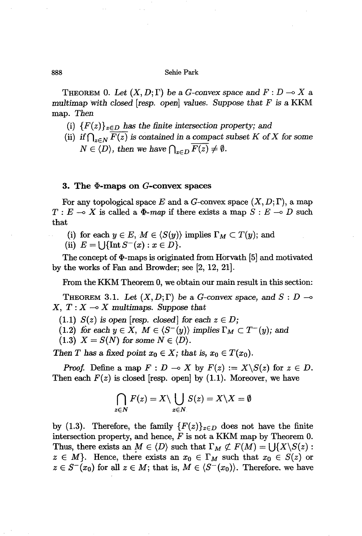THEOREM 0. Let  $(X, D; \Gamma)$  be a *G*-convex space and  $F: D \to X$  a *multimap with closed [resp. open] values. Suppose that F* is a KKM map. *Then*

- (i)  ${F(z)}_{z\in D}$  *has the finite intersection property; and*
- (ii) if  $\bigcap_{z \in N} F(z)$  is contained in a compact subset K of X for some  $N \in \langle D \rangle$ , then we have  $\bigcap_{z \in D} \overline{F(z)} \neq \emptyset$ .

### **3.** The  $\Phi$ -maps on G-convex spaces

For any topological space  $E$  and a  $G$ -convex space  $(X, D; \Gamma)$ , a map  $T : E \longrightarrow X$  is called a  $\Phi$ -*map* if there exists a map  $S : E \longrightarrow D$  such that

- (i) for each  $y \in E$ ,  $M \in \langle S(y) \rangle$  implies  $\Gamma_M \subset T(y)$ ; and
- (ii)  $E = \bigcup \{ \text{Int } S^{-}(x) : x \in D \}.$

The concept of  $\Phi$ -maps is originated from Horvath [5] and motivated by the works of Fan and Browder; see [2, 12, 21].

From the KKM Theorem 0, we obtain our main result in this section:

**THEOREM** 3.1. Let  $(X, D; \Gamma)$  be a *G*-convex space, and  $S: D \rightarrow$  $X, T: X \longrightarrow X$  *multimaps. Suppose that* 

 $(1.1)$  *S(z)* is open [resp. *closed]* for each  $z \in D$ ;

(1.2) for each 
$$
y \in X
$$
,  $M \in \langle S^-(y) \rangle$  implies  $\Gamma_M \subset T^-(y)$ ; and

 $(1.3)$   $X = S(N)$  for some  $N \in \langle D \rangle$ .

*Then T* has a fixed point  $x_0 \in X$ ; that is,  $x_0 \in T(x_0)$ .

*Proof.* Define a map  $F: D \to X$  by  $F(z) := X \setminus S(z)$  for  $z \in D$ . Then each  $F(z)$  is closed [resp. open] by  $(1.1)$ . Moreover, we have

$$
\bigcap_{z\in N}F(z)=X\setminus\bigcup_{z\in N}S(z)=X\setminus X=\emptyset
$$

by (1.3). Therefore, the family  ${F(z)}_{z\in D}$  does not have the finite intersection property, and hence, *F* is not a KKM map by Theorem 0. Thus, there exists an  $M \in \langle D \rangle$  such that  $\Gamma_M \not\subset F(M) = \bigcup \{X \setminus S(z) :$  $z \in M$ . Hence, there exists an  $x_0 \in \Gamma_M$  such that  $x_0 \in S(z)$  or  $z \in S^{-}(x_0)$  for all  $z \in M$ ; that is,  $M \in \langle S^{-}(x_0) \rangle$ . Therefore, we have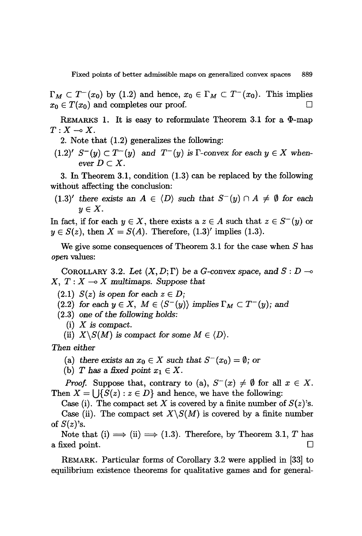$\Gamma_M \subset T^-(x_0)$  by (1.2) and hence,  $x_0 \in \Gamma_M \subset T^-(x_0)$ . This implies  $x_0 \in T(x_0)$  and completes our proof.

REMARKS 1. It is easy to reformulate Theorem 3.1 for a  $\Phi$ -map  $T: X \longrightarrow X$ .

2. Note that (1.2) generalizes the following:

 $(1.2)'$  *S*<sup>-</sup> $(y)$  *C T*<sup>-</sup> $(y)$  and *T*<sup>-</sup> $(y)$  *is T*-convex for each  $y \in X$  when*ever*  $D \subset X$ .

3. In Theorem 3.1, condition (1.3) can be replaced by the following without affecting the conclusion:

 $(1.3)'$  *there exists* an  $A \in \langle D \rangle$  *such that*  $S^{-}(y) \cap A \neq \emptyset$  *for each*  $y \in X$ .

In fact, if for each  $y \in X$ , there exists a  $z \in A$  such that  $z \in S^-(y)$  or  $y \in S(z)$ , then  $X = S(A)$ . Therefore,  $(1.3)'$  implies  $(1.3)$ .

We give some consequences of Theorem 3.1 for the *case* when *S* has *open* values:

COROLLARY 3.2. Let  $(X, D; \Gamma)$  be a *G*-convex space, and  $S: D \rightarrow \infty$  $X, T: X \longrightarrow X$  *multimaps. Suppose that* 

- $(2.1)$  *S(z) is open for* each  $z \in D$ ;
- (2.2) *for* each  $y \in X$ ,  $M \in \langle S^-(y) \rangle$  *implies*  $\Gamma_M \subset T^-(y)$ *;* and
- *(2.3) one* of *the following holds:*
	- (i) X *is compact.*
	- (ii)  $X \setminus S(M)$  *is compact for some*  $M \in \langle D \rangle$ .

*Then either*

- (a) there exists an  $x_0 \in X$  such that  $S^-(x_0) = \emptyset$ ; or
- (b) *T* has a fixed point  $x_1 \in X$ .

*Proof.* Suppose that, contrary to (a),  $S^{-}(x) \neq \emptyset$  for all  $x \in X$ . Then  $X = \bigcup \{ S(z) : z \in D \}$  and hence, we have the following:

Case (i). The compact set X is covered by a finite number of  $S(z)$ 's.

Case (ii). The compact set  $X\setminus S(M)$  is covered by a finite number of *S(z)'s.*

Note that (i)  $\implies$  (ii)  $\implies$  (1.3). Therefore, by Theorem 3.1, T has a fixed point.  $\Box$ 

REMARK. Particular forms of Corollary 3.2 were applied in [33] to equilibrium existence theorems for qualitative games and for general-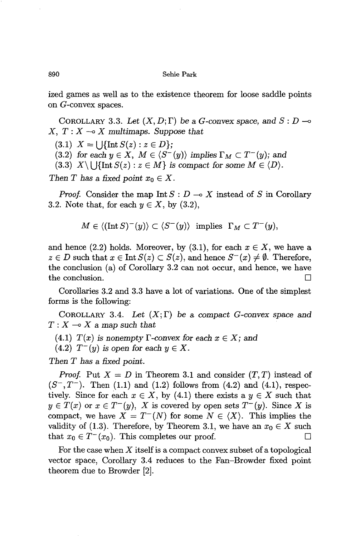ized games as well as to the existence theorem for loose saddle points on G-convex spaces.

COROLLARY 3.3. Let  $(X, D; \Gamma)$  be a *G*-convex space, and  $S: D \rightarrow$  $X, T: X \rightarrow X$  *multimaps.* Suppose that

 $(3.1)$   $X = \left\{ \left| \right| \in S(z) : z \in D \right\};$ 

 $(3.2)$  *for each*  $y \in X$ ,  $M \in \langle S^-(y) \rangle$  *implies*  $\Gamma_M \subset T^-(y)$ *;* and

(3.3)  $X \setminus \bigcup \{\text{Int } S(z) : z \in M\}$  is compact for some  $M \in \langle D \rangle$ .

*Then T* has a fixed point  $x_0 \in X$ .

*Proof.* Consider the map Int  $S: D \to X$  instead of *S* in Corollary 3.2. Note that, for each  $y \in X$ , by  $(3.2)$ ,

$$
M\in \langle (\operatorname{Int}S)^-(y)\rangle \subset \langle S^-(y)\rangle \;\; \text{implies} \;\; \Gamma_M \subset T^-(y),
$$

and hence (2.2) holds. Moreover, by (3.1), for each  $x \in X$ , we have a  $z \in D$  such that  $x \in \text{Int } S(z) \subset S(z)$ , and hence  $S^{-}(x) \neq \emptyset$ . Therefore, the conclusion (a) of Corollary 3.2 can not occur, and hence, we have the conclusion.

Corollaries 3.2 and 3.3 have a lot of variations. One of the simplest forms is the following:

COROLLARY 3.4. Let  $(X; \Gamma)$  be a compact *G*-convex space and  $T: X \longrightarrow X$  a map such that

(4.1) *T*(*x*) *is* nonempty *T*-convex for each  $x \in X$ ; and

 $(4.2)$   $T^-(y)$  *is open for each*  $y \in X$ .

*Then T has* a *fixed point.*

*Proof.* Put  $X = D$  in Theorem 3.1 and consider  $(T, T)$  instead of  $(S^-, T^-)$ . Then (1.1) and (1.2) follows from (4.2) and (4.1), respectively. Since for each  $x \in X$ , by (4.1) there exists a  $y \in X$  such that  $y \in T(x)$  or  $x \in T^{-}(y)$ , X is covered by open sets  $T^{-}(y)$ . Since X is compact, we have  $X = T^{-1}(N)$  for some  $N \in \langle X \rangle$ . This implies the validity of (1.3). Therefore, by Theorem 3.1, we have an  $x_0 \in X$  such that  $x_0 \in T^-(x_0)$ . This completes our proof.  $\Box$ 

For the case when X itselfis a compact convex subset of a topological vector space, Corollary 3.4 reduces to the Fan-Browder fixed point theorem due to Browder [2].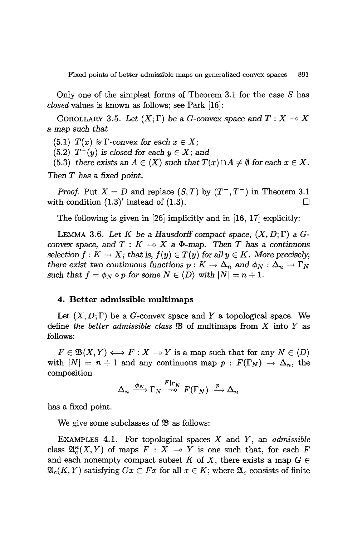Only one of the simplest forms of Theorem 3.1 for the case  $S$  has *closed* values is known as follows; see Park [16]:

COROLLARY 3.5. Let  $(X; \Gamma)$  be a *G*-convex space and  $T: X \to X$ a map *such that*

 $(5.1)$  *T(x) is*  $\Gamma$ -convex for each  $x \in X$ ;

 $(5.2)$   $T^-(y)$  *is closed for each*  $y \in X$ ; and

(5.3) *there exists* an  $A \in \langle X \rangle$  *such that*  $T(x) \cap A \neq \emptyset$  *for each*  $x \in X$ . *Then T has* a *fixed point.*

*Proof.* Put  $X = D$  and replace  $(S, T)$  by  $(T^-, T^-)$  in Theorem 3.1 with condition  $(1.3)'$  instead of  $(1.3)$ .

The following is given in [26] implicitly and in [16, 17] explicitly:

LEMMA 3.6. Let K be a Hausdorff compact space,  $(X, D; \Gamma)$  a G*convex space,* and  $T: K \to X$  a  $\Phi$ -map. Then *T* has a *continuous selection*  $f: K \to X$ ; *that is,*  $f(y) \in T(y)$  *for all*  $y \in K$ *. More precisely,* there exist two continuous functions  $p: K \to \Delta_n$  and  $\phi_N: \Delta_n \to \Gamma_N$ *such that*  $f = \phi_N \circ p$  *for some*  $N \in \langle D \rangle$  *with*  $|N| = n + 1$ .

## **4. Better admissible multimaps**

Let  $(X, D; \Gamma)$  be a G-convex space and Y a topological space. We define *the better admissible class* \$ of multimaps from *X* into *Y* as follows:

 $F \in \mathfrak{B}(X, Y) \Longleftrightarrow F : X \to Y$  is a map such that for any  $N \in \langle D \rangle$ with  $|N| = n + 1$  and any continuous map  $p : F(\Gamma_N) \to \Delta_n$ , the composition

$$
\Delta_n \xrightarrow{\phi_N} \Gamma_N \xrightarrow{F|_{\Gamma_N}} F(\Gamma_N) \xrightarrow{p} \Delta_n
$$

has a fixed point.

We give some subclasses of  $\mathfrak{B}$  as follows:

EXAMPLES 4.1. For topological spaces *X* and *Y,* an *admissible* class  $\mathfrak{A}_{c}^{\kappa}(X, Y)$  of maps  $F : X \longrightarrow Y$  is one such that, for each F and each nonempty compact subset *K* of *X*, there exists a map  $G \in$  $\mathfrak{A}_{c}(K,Y)$  satisfying  $Gx \subset Fx$  for all  $x \in K$ ; where  $\mathfrak{A}_{c}$  consists of finite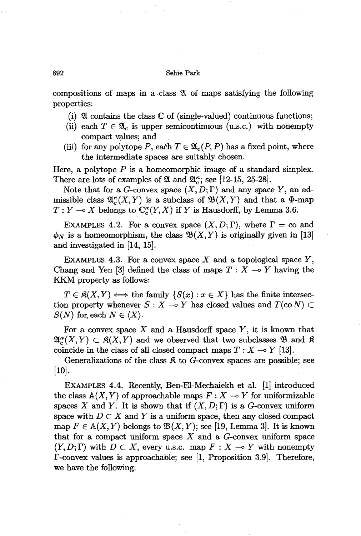compositions of maps in a· class 2{ of maps satisfying the following properties:

- (i)  $\mathfrak A$  contains the class  $\mathbb C$  of (single-valued) continuous functions;
- (ii) each  $T \in \mathfrak{A}_c$  is upper semicontinuous (u.s.c.) with nonempty compact values; and
- (iii) for any polytope *P*, each  $T \in \mathfrak{A}_c(P, P)$  has a fixed point, where the intermediate spaces are suitably chosen.

Here, a polytope *P* is a homeomorphic image of a standard simplex. There are lots of examples of 24 and  $\mathfrak{A}_{\kappa}^{\kappa}$ ; see [12-15, 25-28].

Note that for a G-convex space  $(X, D; \Gamma)$  and any space Y, an admissible class  $\mathfrak{A}_{c}^{\kappa}(X, Y)$  is a subclass of  $\mathfrak{B}(X, Y)$  and that a  $\Phi$ -map  $T: Y \longrightarrow X$  belongs to  $\mathbb{C}_c^{\kappa}(Y, X)$  if Y is Hausdorff, by Lemma 3.6.

EXAMPLES 4.2. For a convex space  $(X, D; \Gamma)$ , where  $\Gamma = \text{co}$  and.  $\phi_N$  is a homeomorphism, the class  $\mathfrak{B}(X, Y)$  is originally given in [13] and investigated in [14, 15].

EXAMPLES 4.3. For a convex space  $X$  and a topological space  $Y$ , Chang and Yen [3] defined the class of maps  $T : X \to Y$  having the KKM property as follows:

 $T \in \mathfrak{K}(X, Y) \Longleftrightarrow$  the family  $\{S(x) : x \in X\}$  has the finite intersection property whenever  $S: X \to Y$  has closed values and  $T(\text{co }N) \subset Y$  $S(N)$  for each  $N \in \langle X \rangle$ .

For a convex space  $X$  and a Hausdorff space  $Y$ , it is known that  $\mathfrak{A}_{\kappa}^{\kappa}(X, Y) \subset \mathfrak{K}(X, Y)$  and we observed that two subclasses  $\mathfrak{B}$  and  $\mathfrak{K}$ coincide in the class of all closed compact maps  $T : X \rightarrow Y$  [13].

Generalizations of the class  $\mathfrak K$  to  $G$ -convex spaces are possible; see [10].

EXAMPLES 4.4. Recently, Ben-EI-Mechaiekh et al. [1] introduced the class  $\mathbb{A}(X, Y)$  of approachable maps  $F : X \longrightarrow Y$  for uniformizable spaces X and Y. It is shown that if  $(X, D; \Gamma)$  is a G-convex uniform space with  $D \subset X$  and Y is a uniform space, then any closed compact map  $F \in A(X, Y)$  belongs to  $\mathfrak{B}(X, Y)$ ; see [19, Lemma 3]. It is known that for a compact uniform space  $X$  and a  $G$ -convex uniform space  $(Y, D; \Gamma)$  with  $D \subset X$ , every u.s.c. map  $F: X \to Y$  with nonempty  $\Gamma$ -convex values is approachable; see [1, Proposition 3.9]. Therefore, we have the following: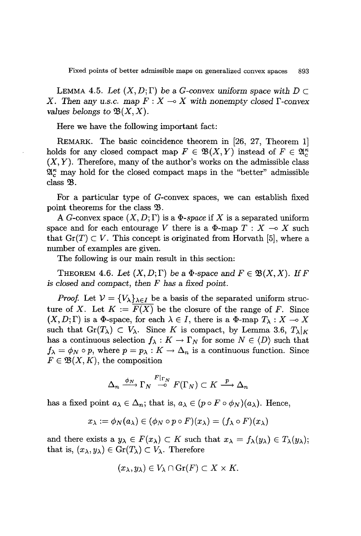LEMMA 4.5. Let  $(X, D; \Gamma)$  be a *G*-convex uniform space with  $D \subset$ *X.* Then any *u.s.c.* map  $F: X \to X$  with nonempty closed  $\Gamma$ -convex *values* belongs to  $\mathfrak{B}(X,X)$ .

Here we have the following important fact:

REMARK. The basic coincidence theorem in [26, 27, Theorem 1] holds for any closed compact map  $F \in \mathfrak{B}(X, Y)$  instead of  $F \in \mathfrak{A}_{\epsilon}^{\kappa}$  $(X, Y)$ . Therefore, many of the author's works on the admissible class  $\mathfrak{A}_{\epsilon}^{\kappa}$  may hold for the closed compact maps in the "better" admissible class  $\mathfrak{B}.$ 

For a particular type of G-convex spaces, we can establish fixed point theorems for the class  $\mathfrak{B}$ .

A G-convex space  $(X, D; \Gamma)$  is a  $\Phi$ -space if X is a separated uniform space and for each entourage V there is a  $\Phi$ -map  $T : X \to X$  such that  $\text{Gr}(T) \subset V$ . This concept is originated from Horvath [5], where a number of examples are given.

The following is our main result in this section:

THEOREM 4.6. Let  $(X, D; \Gamma)$  be a  $\Phi$ -space and  $F \in \mathfrak{B}(X,X)$ . If F *is closed and compact, then* F *has* a *fixed point.*

*Proof.* Let  $V = \{V_{\lambda}\}_{{\lambda} \in I}$  be a basis of the separated uniform structure of *X*. Let  $K := \overline{F(X)}$  be the closure of the range of *F*. Since  $(X, D; \Gamma)$  is a  $\Phi$ -space, for each  $\lambda \in I$ , there is a  $\Phi$ -map  $T_{\lambda}: X \to X$ such that  $\text{Gr}(T_\lambda) \subset V_\lambda$ . Since K is compact, by Lemma 3.6,  $T_\lambda|_K$ has a continuous selection  $f_{\lambda}: K \to \Gamma_N$  for some  $N \in \langle D \rangle$  such that  $f_{\lambda} = \phi_N \circ p$ , where  $p = p_{\lambda} : K \to \Delta_n$  is a continuous function. Since  $F \in \mathfrak{B}(X,K)$ , the composition

$$
\Delta_n \xrightarrow{\phi_N} \Gamma_N \xrightarrow{F|_{\Gamma_N}} F(\Gamma_N) \subset K \xrightarrow{p} \Delta_n
$$

has a fixed point  $a_{\lambda} \in \Delta_n$ ; that is,  $a_{\lambda} \in (p \circ F \circ \phi_N)(a_{\lambda})$ . Hence,

$$
x_\lambda:=\phi_N(a_\lambda)\in(\phi_N\circ p\circ F)(x_\lambda)=(f_\lambda\circ F)(x_\lambda)
$$

and there exists a  $y_{\lambda} \in F(x_{\lambda}) \subset K$  such that  $x_{\lambda} = f_{\lambda}(y_{\lambda}) \in T_{\lambda}(y_{\lambda});$ that is,  $(x_{\lambda}, y_{\lambda}) \in \text{Gr}(T_{\lambda}) \subset V_{\lambda}$ . Therefore

$$
(x_{\lambda},y_{\lambda})\in V_{\lambda}\cap Gr(F)\subset X\times K.
$$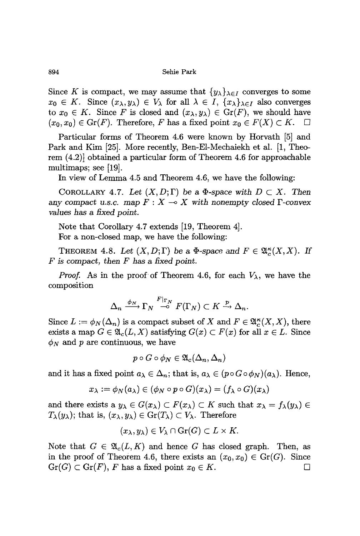Since K is compact, we may assume that  $\{y_{\lambda}\}_{{\lambda}\in I}$  converges to some  $x_0 \in K$ . Since  $(x_{\lambda}, y_{\lambda}) \in V_{\lambda}$  for all  $\lambda \in I$ ,  $\{x_{\lambda}\}_{{\lambda} \in I}$  also converges to  $x_0 \in K$ . Since F is closed and  $(x_{\lambda}, y_{\lambda}) \in \text{Gr}(F)$ , we should have  $(x_0, x_0) \in \text{Gr}(F)$ . Therefore, F has a fixed point  $x_0 \in F(X) \subset K$ .  $\Box$ 

Particular forms of Theorem 4.6 were known by Horvath [5] and Park and Kim [25]. More recently, Ben-El-Mechaiekh et al. [1, Theorem (4.2)] obtained a particular form of Theorem 4.6 for approachable multimaps; see [19].

**In** view of Lemma 4.5 and Theorem 4.6, we have the following:

COROLLARY 4.7. Let  $(X, D; \Gamma)$  be a  $\Phi$ -space with  $D \subset X$ . Then any compact u.s.c. map  $F: X \to X$  with nonempty closed  $\Gamma$ -convex *values has* a *fixed point.*

Note that Corollary 4.7 extends [19, Theorem 4]. For a non-closed map, we have the following:

THEOREM 4.8. Let  $(X, D; \Gamma)$  be a  $\Phi$ -space and  $F \in \mathfrak{A}_{c}^{\kappa}(X, X)$ . If *F is compact, then F has* a *fixed point.*

*Proof.* As in the proof of Theorem 4.6, for each  $V_{\lambda}$ , we have the composition

$$
\Delta_n \xrightarrow{\phi_N} \Gamma_N \xrightarrow{F|_{\Gamma_N}} F(\Gamma_N) \subset K \xrightarrow{p} \Delta_n.
$$

Since  $L := \phi_N(\Delta_n)$  is a compact subset of X and  $F \in \mathfrak{A}_{\varepsilon}^{\kappa}(X, X)$ , there exists a map  $G \in \mathfrak{A}_{c}(L,X)$  satisfying  $G(x) \subset F(x)$  for all  $x \in L$ . Since  $\phi_N$  and p are continuous, we have

$$
p\circ G\circ \phi_N\in \mathfrak{A}_c(\Delta_n,\Delta_n)
$$

and it has a fixed point  $a_{\lambda} \in \Delta_n$ ; that is,  $a_{\lambda} \in (p \circ G \circ \phi_N)(a_{\lambda})$ . Hence,

$$
x_\lambda:=\phi_N(a_\lambda)\in(\phi_N\circ p\circ G)(x_\lambda)=(f_\lambda\circ G)(x_\lambda)
$$

and there exists a  $y_{\lambda} \in G(x_{\lambda}) \subset F(x_{\lambda}) \subset K$  such that  $x_{\lambda} = f_{\lambda}(y_{\lambda}) \in$  $T_{\lambda}(y_{\lambda});$  that is,  $(x_{\lambda}, y_{\lambda}) \in \text{Gr}(T_{\lambda}) \subset V_{\lambda}$ . Therefore

$$
(x_{\lambda},y_{\lambda})\in V_{\lambda}\cap Gr(G)\subset L\times K.
$$

Note that  $G \in \mathfrak{A}_{c}(L,K)$  and hence *G* has closed graph. Then, as in the proof of Theorem 4.6, there exists an  $(x_0, x_0) \in Gr(G)$ . Since  $Gr(G) \subset Gr(F)$ , *F* has a fixed point  $x_0 \in K$ .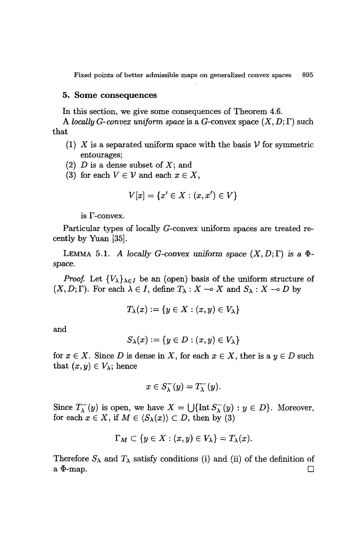### 5. Some consequences

In this section, we give some consequences of Theorem 4.6.

A *locally G*-convex uniform space is a *G*-convex space  $(X, D; \Gamma)$  such that

- (1) X is a separated uniform space with the basis  $\mathcal V$  for symmetric entourages;
- *(2) D* is a dense subset of X; and
- (3) for each  $V \in \mathcal{V}$  and each  $x \in X$ ,

$$
V[x]=\{x'\in X:(x,x')\in V\}
$$

is  $\Gamma$ -convex.

Particular types of locally G-convex uniform spaces are treated recently by Yuan [35].

LEMMA 5.1. A *locally* G-convex uniform space  $(X, D; \Gamma)$  is a  $\Phi$ *space.*

*Proof.* Let  $\{V_{\lambda}\}_{\lambda \in I}$  be an (open) basis of the uniform structure of  $(X, D; \Gamma)$ . For each  $\lambda \in I$ , define  $T_{\lambda}: X \to X$  and  $S_{\lambda}: X \to D$  by

$$
T_\lambda(x):=\{y\in X:(x,y)\in V_\lambda\}
$$

and

$$
S_{\lambda}(x):=\{y\in D: (x,y)\in V_{\lambda}\}
$$

for  $x \in X$ . Since D is dense in X, for each  $x \in X$ , ther is a  $y \in D$  such that  $(x, y) \in V_\lambda$ ; hence

$$
x \in S_{\lambda}^{-}(y) = T_{\lambda}^{-}(y).
$$

Since  $T_{\lambda}^{-}(y)$  is open, we have  $X = \bigcup \{ \text{Int } S_{\lambda}^{-}(y) : y \in D \}$ . Moreover, for each  $x \in X$ , if  $M \in \langle S_{\lambda}(x) \rangle \subset D$ , then by (3)

$$
\Gamma_M \subset \{y \in X : (x, y) \in V_\lambda\} = T_\lambda(x).
$$

Therefore  $S_{\lambda}$  and  $T_{\lambda}$  satisfy conditions (i) and (ii) of the definition of a  $\Phi$ -map.  $\Box$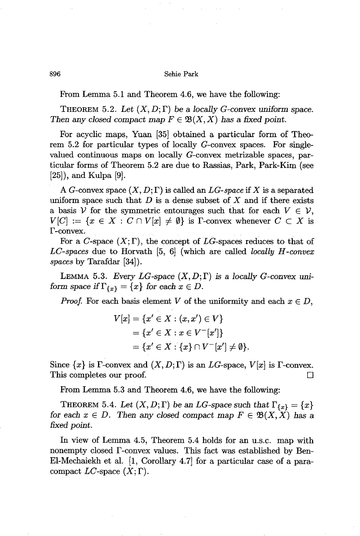From Lemma 5.1 and Theorem 4.6, we have the following:

THEOREM 5.2. Let  $(X, D; \Gamma)$  be a locally *G*-convex uniform space. *Then* any *closed* compact map  $F \in \mathfrak{B}(X,X)$  has a fixed point.

For acyclic maps, Yuan [35] obtained a particular form of Theorem 5.2 for particular types of locally G-convex spaces. For singlevalued continuous maps on locally G-convex metrizable spaces, particular forms of Theorem 5.2 are due to Rassias, Park, Park-Kim (see [25]), and Kulpa [9].

A G-convex space  $(X, D; \Gamma)$  is called an LG-space if X is a separated uniform space such that  $D$  is a dense subset of  $X$  and if there exists a basis V for the symmetric entourages such that for each  $V \in V$ ,  $V[C] := \{x \in X : C \cap V[x] \neq \emptyset\}$  is F-convex whenever  $C \subset X$  is f-convex.

For a C-space  $(X; \Gamma)$ , the concept of LG-spaces reduces to that of *LC-spaces* due to Horvath [5, 6J (which are called *locally H -convex spaces* by Tarafdar [34]).

LEMMA 5.3. *Every LG-space*  $(X, D; \Gamma)$  is a *locally G-convex uniform* space *if*  $\Gamma_{\{x\}} = \{x\}$  *for each*  $x \in D$ .

*Proof.* For each basis element *V* of the uniformity and each  $x \in D$ ,

$$
V[x] = \{x' \in X : (x, x') \in V\}
$$
  
=  $\{x' \in X : x \in V^{-}[x']\}$   
=  $\{x' \in X : \{x\} \cap V^{-}[x'] \neq \emptyset\}.$ 

Since  $\{x\}$  is  $\Gamma$ -convex and  $(X, D; \Gamma)$  is an *LG*-space,  $V[x]$  is  $\Gamma$ -convex. This completes our proof.  $\Box$ 

From Lemma 5.3 and Theorem 4.6, we have the following:

THEOREM 5.4. Let  $(X, D; \Gamma)$  be an *LG-space such that*  $\Gamma_{\{x\}} = \{x\}$ *for* each  $x \in D$ . Then any closed compact map  $F \in \mathfrak{B}(X,X)$  has a *fixed point.*

In view of Lemma 4.5, Theorem 5.4 holds for an u.s.c. map with nonempty closed  $\Gamma$ -convex values. This fact was established by Ben-EI-Mechaiekh et al. [1, Corollary 4.7] for a particular case of a paracompact  $LC$ -space  $(X; \Gamma)$ .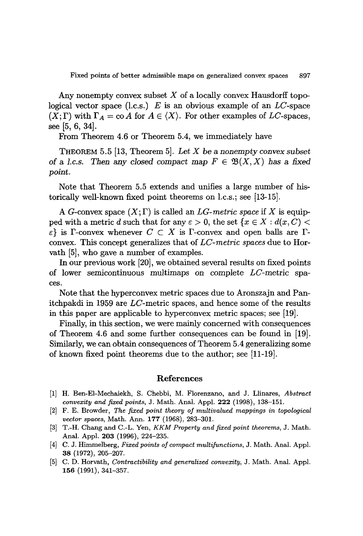Any nonempty convex subset *X* of a locally convex Hausdorff topological vector space (l.c.s.) *E* is an obvious example of an *LC-space*  $(X; \Gamma)$  with  $\Gamma_A = \text{co } A$  for  $A \in \langle X \rangle$ . For other examples of *LC*-spaces, see [5, 6, 34].

From Theorem 4.6 or Theorem 5.4, we immediately have

THEOREM 5.5 [13, Theorem 5]. *Let X* be a *nonempty convex subset* of a *l.c.s.* Then any closed compact map  $F \in \mathfrak{B}(X,X)$  has a fixed *point.*

Note that Theorem 5.5 extends and unifies a large number of historically well-known fixed point theorems on l.c.s.; see [13-15].

A G-convex space  $(X; \Gamma)$  is called an *LG-metric space* if X is equipped with a metric d such that for any  $\varepsilon > 0$ , the set  $\{x \in X : d(x, C) <$  $\{\varepsilon\}$  is  $\Gamma$ -convex whenever  $C \subset X$  is  $\Gamma$ -convex and open balls are  $\Gamma$ convex. This concept generalizes that of *LC-metric spaces* due to Horvath [5], who gave a number of examples.

In our previous work [20], we obtained several results on fixed points of lower semicontinuous multimaps on complete *LC-metric* spaces.

Note that the hyperconvex metric spaces due to Aronszajn and Panitchpakdi in 1959 are *LC-metric* spaces, and hence some of the results in this paper are applicable to hyperconvex metric spaces; see [19].

Finally, in this section, we were mainly concerned with consequences of Theorem 4.6 and some further consequences can be found in [19]. Similarly, we can obtain consequences of Theorem 5.4 generalizing some of known fixed point theorems due to the author; see [11-19].

# References

- [1] H. Ben-EI-Mechaiekh, S. Chebbi, M. Florenzano, and J. Llinares, *Abstract convexity and fixed points,* J. Math. Anal. AppI. 222 (1998), 138-15l.
- [2] F. E. Browder, *The fixed point theory of multivalued mappings in topological vector spaces,* Math. Ann. 177 (1968), 283-30l.
- [3] T.-H. Chang and C.-L. Yen, *KKM Property and fixed point theorems,* J. Math. Anal. AppI. 203 (1996), 224-235.
- [4] C. J. Himmelberg, *Fixed points of compact multifunctions,* J. Math. Anal. Appl. 38 (1972), 205-207.
- [5] C. D. Horvath, *Contractibility and generalized convexity,* J. Math. Anal. Appl. 156 (1991), 341-357.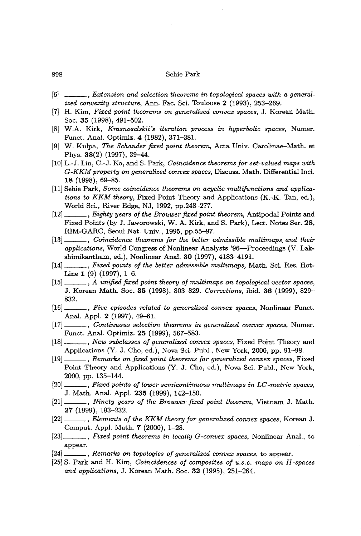- [6] , *Extension and selection theorems in topological spaces with a generalized convexity structure, Ann. Fac. Sci. Toulouse 2 (1993), 253-269.*
- [7] H. Kim, *Fixed point theorems on generalized convex spaces,* J. Korean Math. Soc. 35 (1998), 491-502.
- [8] W.A. Kirk, *Krasnoselskii's iteration process in hyperbolic spaces,* Numer. Funct. Anal. Optimiz. 4 (1982), 371-381.
- [9] W. Kulpa, *The Schauder fixed point theorem,* Acta Univ. Carolinae-Math. et Phys. 38(2) (1997), 39-44.
- [10j L.-J. Lin, C.-J. Ko, and S. Park, *Coincidence theorems for set-valued maps with G-KKM property on generalized convex spaces,* Discuss. Math. Differential Incl. 18 (1998), 69-85.
- [11] Sehie Park, *Some coincidence theorems on acyclic multifunctions and applications to KKM theory,* Fixed Point Theory and Applications (K.-K. Tan, ed.), World Sci., River Edge, NJ, 1992, pp.248-277.
- [12] , *Eighty years of the Brouwer fixed point theorem,* Antipodal Points and Fixed Points (by J. Jaworowski, W. A. Kirk, and S. Park), Lect. Notes Ser. 28, RIM-GARC, Seoul Nat. Univ., 1995, pp.55-97.
- [13J , *Coincidence theorems for the better admissible multimaps and their applications,* World Congress of Nonlinear Analysts '96-Proceedings (V. Lakshimikantham, ed.), Nonlinear Anal. 30 (1997), 4183-4191.
- [14] *, Fixed points of the better admissible multimaps, Math. Sci. Res. Hot-*Line  $1(9)(1997)$ , 1-6.
- [15] , *A unified fixed point theory of multimaps on topological vector spaces,* J. Korean Math. Soc. 35 (1998), 803-829. *Corrections,* ibid. 36 (1999), 829- 832.
- [16] , *Five episodes related to generalized convex spaces,* Nonlinear Funct. Anal. Appl. 2 (1997), 49-61.
- [17] , *Continuous selection theorems in generalized convex spaces,* Numer. Funct. Anal. Optimiz. 25 (1999), 567-583.
- [18] , *New subclasses of generalized convex spaces,* Fixed Point Theory and Applications (Y. J. Cho, ed.), Nova Sci. Publ., New York, 2000, pp. 91-98.
- [19] , *Remarks on fixed point theorems for generalized convex spaces,* Fixed Point Theory and Applications (Y. J. Cho, ed.), Nova Sci. Publ., New York, 2000, pp. 135-144.
- [20] , *Fixed points of lower semicontinuous multimaps in Le-metric spaces,* J. Math. Anal. Appl. 235 (1999), 142-150.
- [21] , *Ninety years of the Brouwer fixed point theorem,* Vietnam J. Math. 27 (1999), 193-232.
- [22] , *Elements of the KKM theory for generalized convex spaces,* Korean J. Comput. Appl. Math. 7 (2000), 1-28.
- [23] . , *Fixed point theorems in locally G-convex spaces,* Nonlinear Anal., to appear.
- [24] , *Remarks on topologies of generalized convex spaces,* to appear.
- [25] S. Park and H. Kim, *Coincidences of composites of u.s.c. maps on H -spaces and applications,* J. Korean Math. Soc. 32 (1995), 251-264.